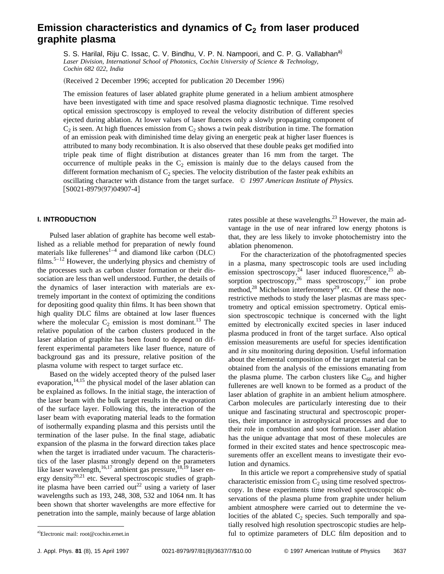# **Emission characteristics and dynamics of C<sub>2</sub> from laser produced graphite plasma**

S. S. Harilal, Riju C. Issac, C. V. Bindhu, V. P. N. Nampoori, and C. P. G. Vallabhan<sup>a)</sup> *Laser Division, International School of Photonics, Cochin University of Science & Technology, Cochin 682 022, India*

(Received 2 December 1996; accepted for publication 20 December 1996)

The emission features of laser ablated graphite plume generated in a helium ambient atmosphere have been investigated with time and space resolved plasma diagnostic technique. Time resolved optical emission spectroscopy is employed to reveal the velocity distribution of different species ejected during ablation. At lower values of laser fluences only a slowly propagating component of  $C_2$  is seen. At high fluences emission from  $C_2$  shows a twin peak distribution in time. The formation of an emission peak with diminished time delay giving an energetic peak at higher laser fluences is attributed to many body recombination. It is also observed that these double peaks get modified into triple peak time of flight distribution at distances greater than 16 mm from the target. The occurrence of multiple peaks in the  $C_2$  emission is mainly due to the delays caused from the different formation mechanism of  $C_2$  species. The velocity distribution of the faster peak exhibits an oscillating character with distance from the target surface. © *1997 American Institute of Physics.*  $[50021-8979(97)04907-4]$ 

## **I. INTRODUCTION**

Pulsed laser ablation of graphite has become well established as a reliable method for preparation of newly found materials like fullerenes<sup>1-4</sup> and diamond like carbon  $(DLC)$ films.<sup>5–12</sup> However, the underlying physics and chemistry of the processes such as carbon cluster formation or their dissociation are less than well understood. Further, the details of the dynamics of laser interaction with materials are extremely important in the context of optimizing the conditions for depositing good quality thin films. It has been shown that high quality DLC films are obtained at low laser fluences where the molecular  $C_2$  emission is most dominant.<sup>13</sup> The relative population of the carbon clusters produced in the laser ablation of graphite has been found to depend on different experimental parameters like laser fluence, nature of background gas and its pressure, relative position of the plasma volume with respect to target surface etc.

Based on the widely accepted theory of the pulsed laser evaporation, $14,15$  the physical model of the laser ablation can be explained as follows. In the initial stage, the interaction of the laser beam with the bulk target results in the evaporation of the surface layer. Following this, the interaction of the laser beam with evaporating material leads to the formation of isothermally expanding plasma and this persists until the termination of the laser pulse. In the final stage, adiabatic expansion of the plasma in the forward direction takes place when the target is irradiated under vacuum. The characteristics of the laser plasma strongly depend on the parameters like laser wavelength, $16,17$  ambient gas pressure,  $18,19$  laser energy density<sup>20,21</sup> etc. Several spectroscopic studies of graphite plasma have been carried out<sup>22</sup> using a variety of laser wavelengths such as 193, 248, 308, 532 and 1064 nm. It has been shown that shorter wavelengths are more effective for penetration into the sample, mainly because of large ablation rates possible at these wavelengths. $^{23}$  However, the main advantage in the use of near infrared low energy photons is that, they are less likely to invoke photochemistry into the ablation phenomenon.

For the characterization of the photofragmented species in a plasma, many spectroscopic tools are used including emission spectroscopy,  $24$  laser induced fluorescence,  $25$  absorption spectroscopy,<sup>26</sup> mass spectroscopy,<sup>27</sup> ion probe method, $^{28}$  Michelson interferometry $^{29}$  etc. Of these the nonrestrictive methods to study the laser plasmas are mass spectrometry and optical emission spectrometry. Optical emission spectroscopic technique is concerned with the light emitted by electronically excited species in laser induced plasma produced in front of the target surface. Also optical emission measurements are useful for species identification and *in situ* monitoring during deposition. Useful information about the elemental composition of the target material can be obtained from the analysis of the emissions emanating from the plasma plume. The carbon clusters like  $C_{60}$  and higher fullerenes are well known to be formed as a product of the laser ablation of graphite in an ambient helium atmosphere. Carbon molecules are particularly interesting due to their unique and fascinating structural and spectroscopic properties, their importance in astrophysical processes and due to their role in combustion and soot formation. Laser ablation has the unique advantage that most of these molecules are formed in their excited states and hence spectroscopic measurements offer an excellent means to investigate their evolution and dynamics.

In this article we report a comprehensive study of spatial characteristic emission from  $C_2$  using time resolved spectroscopy. In these experiments time resolved spectroscopic observations of the plasma plume from graphite under helium ambient atmosphere were carried out to determine the velocities of the ablated  $C_2$  species. Such temporally and spatially resolved high resolution spectroscopic studies are helpful to optimize parameters of DLC film deposition and to

Electronic mail: root@cochin.ernet.in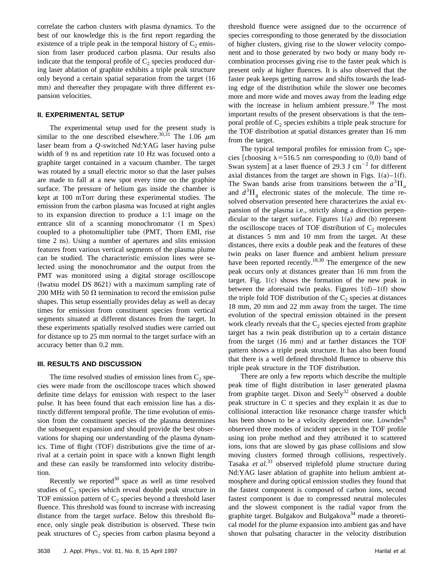correlate the carbon clusters with plasma dynamics. To the best of our knowledge this is the first report regarding the existence of a triple peak in the temporal history of  $C_2$  emission from laser produced carbon plasma. Our results also indicate that the temporal profile of  $C_2$  species produced during laser ablation of graphite exhibits a triple peak structure only beyond a certain spatial separation from the target (16 mm) and thereafter they propagate with three different expansion velocities.

## **II. EXPERIMENTAL SETUP**

The experimental setup used for the present study is similar to the one described elsewhere.<sup>30,31</sup> The 1.06  $\mu$ m laser beam from a *Q*-switched Nd:YAG laser having pulse width of 9 ns and repetition rate 10 Hz was focused onto a graphite target contained in a vacuum chamber. The target was rotated by a small electric motor so that the laser pulses are made to fall at a new spot every time on the graphite surface. The pressure of helium gas inside the chamber is kept at 100 mTorr during these experimental studies. The emission from the carbon plasma was focused at right angles to its expansion direction to produce a 1:1 image on the entrance slit of a scanning monochromator  $(1 \text{ m} \text{Spez})$ coupled to a photomultiplier tube (PMT, Thorn EMI, rise time 2 ns). Using a number of apertures and slits emission features from various vertical segments of the plasma plume can be studied. The characteristic emission lines were selected using the monochromator and the output from the PMT was monitored using a digital storage oscilloscope (Iwatsu model DS  $8621$ ) with a maximum sampling rate of 200 MHz with 50  $\Omega$  termination to record the emission pulse shapes. This setup essentially provides delay as well as decay times for emission from constituent species from vertical segments situated at different distances from the target. In these experiments spatially resolved studies were carried out for distance up to 25 mm normal to the target surface with an accuracy better than 0.2 mm.

### **III. RESULTS AND DISCUSSION**

The time resolved studies of emission lines from  $C_2$  species were made from the oscilloscope traces which showed definite time delays for emission with respect to the laser pulse. It has been found that each emission line has a distinctly different temporal profile. The time evolution of emission from the constituent species of the plasma determines the subsequent expansion and should provide the best observations for shaping our understanding of the plasma dynamics. Time of flight (TOF) distributions give the time of arrival at a certain point in space with a known flight length and these can easily be transformed into velocity distribution.

Recently we reported $30$  space as well as time resolved studies of  $C_2$  species which reveal double peak structure in TOF emission pattern of  $C_2$  species beyond a threshold laser fluence. This threshold was found to increase with increasing distance from the target surface. Below this threshold fluence, only single peak distribution is observed. These twin peak structures of  $C_2$  species from carbon plasma beyond a threshold fluence were assigned due to the occurrence of species corresponding to those generated by the dissociation of higher clusters, giving rise to the slower velocity component and to those generated by two body or many body recombination processes giving rise to the faster peak which is present only at higher fluences. It is also observed that the faster peak keeps getting narrow and shifts towards the leading edge of the distribution while the slower one becomes more and more wide and moves away from the leading edge with the increase in helium ambient pressure.<sup>18</sup> The most important results of the present observations is that the temporal profile of  $C_2$  species exhibits a triple peak structure for the TOF distribution at spatial distances greater than 16 mm from the target.

The typical temporal profiles for emission from  $C_2$  species [choosing  $\lambda$ =516.5 nm corresponding to (0,0) band of Swan system] at a laser fluence of 29.3 J cm<sup>-2</sup> for different axial distances from the target are shown in Figs.  $1(a) - 1(f)$ . The Swan bands arise from transitions between the  $a^3\Pi_u$ and  $d^3\Pi_g$  electronic states of the molecule. The time resolved observation presented here characterizes the axial expansion of the plasma i.e., strictly along a direction perpendicular to the target surface. Figures  $1(a)$  and  $(b)$  represent the oscilloscope traces of TOF distribution of  $C_2$  molecules at distances 5 mm and 10 mm from the target. At these distances, there exits a double peak and the features of these twin peaks on laser fluence and ambient helium pressure have been reported recently.<sup>18,30</sup> The emergence of the new peak occurs only at distances greater than 16 mm from the target. Fig.  $1(c)$  shows the formation of the new peak in between the aforesaid twin peaks. Figures  $1(d) - 1(f)$  show the triple fold TOF distribution of the  $C_2$  species at distances 18 mm, 20 mm and 22 mm away from the target. The time evolution of the spectral emission obtained in the present work clearly reveals that the  $C_2$  species ejected from graphite target has a twin peak distribution up to a certain distance from the target  $(16 \text{ mm})$  and at farther distances the TOF pattern shows a triple peak structure. It has also been found that there is a well defined threshold fluence to observe this triple peak structure in the TOF distribution.

There are only a few reports which describe the multiple peak time of flight distribution in laser generated plasma from graphite target. Dixon and Seely<sup>32</sup> observed a double peak structure in C II species and they explain it as due to collisional interaction like resonance charge transfer which has been shown to be a velocity dependent one. Lowndes<sup>6</sup> observed three modes of incident species in the TOF profile using ion probe method and they attributed it to scattered ions, ions that are slowed by gas phase collisions and slow moving clusters formed through collisions, respectively. Tasaka *et al.*<sup>33</sup> observed triplefold plume structure during Nd:YAG laser ablation of graphite into helium ambient atmosphere and during optical emission studies they found that the fastest component is composed of carbon ions, second fastest component is due to compressed neutral molecules and the slowest component is the radial vapor from the graphite target. Bulgakov and Bulgakova<sup>34</sup> made a theoretical model for the plume expansion into ambient gas and have shown that pulsating character in the velocity distribution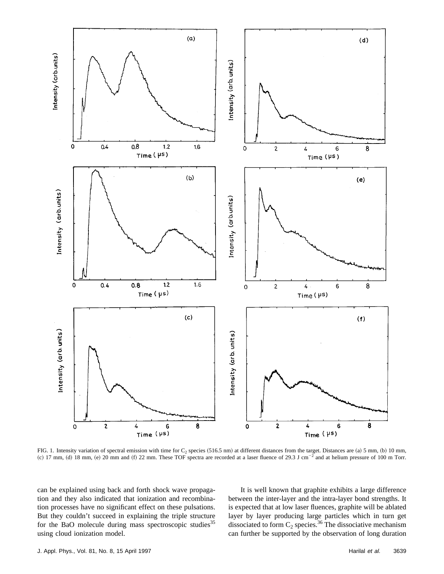

FIG. 1. Intensity variation of spectral emission with time for  $C_2$  species  $(516.5 \text{ nm})$  at different distances from the target. Distances are (a) 5 mm, (b) 10 mm, (c) 17 mm, (d) 18 mm, (e) 20 mm and (f) 22 mm. These TOF spectra are recorded at a laser fluence of 29.3 J cm<sup>-2</sup> and at helium pressure of 100 m Torr.

can be explained using back and forth shock wave propagation and they also indicated that ionization and recombination processes have no significant effect on these pulsations. But they couldn't succeed in explaining the triple structure for the BaO molecule during mass spectroscopic studies<sup>35</sup> using cloud ionization model.

It is well known that graphite exhibits a large difference between the inter-layer and the intra-layer bond strengths. It is expected that at low laser fluences, graphite will be ablated layer by layer producing large particles which in turn get dissociated to form  $C_2$  species.<sup>36</sup> The dissociative mechanism can further be supported by the observation of long duration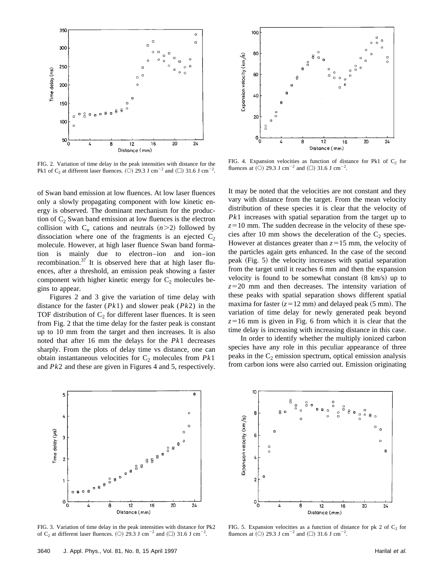

FIG. 2. Variation of time delay in the peak intensities with distance for the Pk1 of C<sub>2</sub> at different laser fluences. (O) 29.3 J cm<sup>-2</sup> and ( $\Box$ ) 31.6 J cm<sup>-2</sup>.

of Swan band emission at low fluences. At low laser fluences only a slowly propagating component with low kinetic energy is observed. The dominant mechanism for the production of  $C_2$  Swan band emission at low fluences is the electron collision with  $C_n$  cations and neutrals  $(n>2)$  followed by dissociation where one of the fragments is an ejected  $C_2$ molecule. However, at high laser fluence Swan band formation is mainly due to electron–ion and ion–ion recombination. $37$  It is observed here that at high laser fluences, after a threshold, an emission peak showing a faster component with higher kinetic energy for  $C_2$  molecules begins to appear.

Figures 2 and 3 give the variation of time delay with distance for the faster (*Pk*1) and slower peak (*Pk*2) in the TOF distribution of  $C_2$  for different laser fluences. It is seen from Fig. 2 that the time delay for the faster peak is constant up to 10 mm from the target and then increases. It is also noted that after 16 mm the delays for the *Pk*1 decreases sharply. From the plots of delay time vs distance, one can obtain instantaneous velocities for  $C_2$  molecules from  $Pk1$ and *Pk*2 and these are given in Figures 4 and 5, respectively.



FIG. 4. Expansion velocities as function of distance for Pk1 of  $C_2$  for fluences at (O) 29.3 J cm<sup>-2</sup> and ( $\square$ ) 31.6 J cm<sup>-2</sup>.

It may be noted that the velocities are not constant and they vary with distance from the target. From the mean velocity distribution of these species it is clear that the velocity of *Pk*1 increases with spatial separation from the target up to  $z=10$  mm. The sudden decrease in the velocity of these species after 10 mm shows the deceleration of the  $C_2$  species. However at distances greater than  $z=15$  mm, the velocity of the particles again gets enhanced. In the case of the second peak (Fig. 5) the velocity increases with spatial separation from the target until it reaches 6 mm and then the expansion velocity is found to be somewhat constant  $(8 \text{ km/s})$  up to  $z=20$  mm and then decreases. The intensity variation of these peaks with spatial separation shows different spatial maxima for faster  $(z=12 \text{ mm})$  and delayed peak  $(5 \text{ mm})$ . The variation of time delay for newly generated peak beyond  $z=16$  mm is given in Fig. 6 from which it is clear that the time delay is increasing with increasing distance in this case.

In order to identify whether the multiply ionized carbon species have any role in this peculiar appearance of three peaks in the  $C_2$  emission spectrum, optical emission analysis from carbon ions were also carried out. Emission originating



FIG. 3. Variation of time delay in the peak intensities with distance for Pk2 of C<sub>2</sub> at different laser fluences. (O) 29.3 J cm<sup>-2</sup> and ( $\Box$ ) 31.6 J cm<sup>-2</sup>.



FIG. 5. Expansion velocities as a function of distance for pk 2 of  $C_2$  for fluences at (O) 29.3 J cm<sup>-2</sup> and ( $\square$ ) 31.6 J cm<sup>-2</sup>.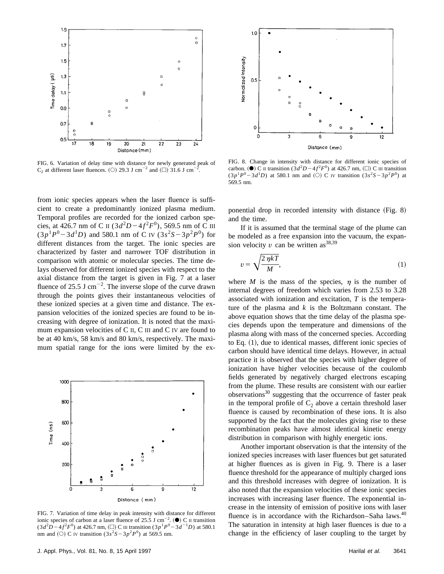

FIG. 6. Variation of delay time with distance for newly generated peak of  $C_2$  at different laser fluences. (O) 29.3 J cm<sup>-2</sup> and ( $\square$ ) 31.6 J cm<sup>-2</sup>.

from ionic species appears when the laser fluence is sufficient to create a predominantly ionized plasma medium. Temporal profiles are recorded for the ionized carbon species, at 426.7 nm of C II  $(3d^2D - 4f^2F^0)$ , 569.5 nm of C III  $(3p^{1}P^{0}-3d^{1}D)$  and 580.1 nm of C IV  $(3s^{2}S-3p^{2}P^{0})$  for different distances from the target. The ionic species are characterized by faster and narrower TOF distribution in comparison with atomic or molecular species. The time delays observed for different ionized species with respect to the axial distance from the target is given in Fig. 7 at a laser fluence of 25.5 J cm<sup> $-2$ </sup>. The inverse slope of the curve drawn through the points gives their instantaneous velocities of these ionized species at a given time and distance. The expansion velocities of the ionized species are found to be increasing with degree of ionization. It is noted that the maximum expansion velocities of C II, C III and C IV are found to be at 40 km/s, 58 km/s and 80 km/s, respectively. The maximum spatial range for the ions were limited by the ex-



FIG. 7. Variation of time delay in peak intensity with distance for different ionic species of carbon at a laser fluence of 25.5 J cm<sup>-2</sup>. ( $\bullet$ ) C II transition  $(3d^2D - 4f^2F^0)$  at 426.7 nm,  $(\square)$  C III transition  $(3p^1P^0 - 3d^{-1}D)$  at 580.1 nm and (O) C IV transition  $(3s^2S - 3p^2P^0)$  at 569.5 nm.



FIG. 8. Change in intensity with distance for different ionic species of carbon. ( $\bullet$ ) C II transition  $(3d^2D-4f^2F^0)$  at 426.7 nm, ( $\square$ ) C III transition  $(3p^1P^0 - 3d^1D)$  at 580.1 nm and (O) C IV transition  $(3s^2S - 3p^2P^0)$  at 569.5 nm.

ponential drop in recorded intensity with distance  $(Fig. 8)$ and the time.

If it is assumed that the terminal stage of the plume can be modeled as a free expansion into the vacuum, the expansion velocity  $v$  can be written as<sup>38,39</sup>

$$
v = \sqrt{\frac{2 \eta kT}{M}},\tag{1}
$$

where *M* is the mass of the species,  $\eta$  is the number of internal degrees of freedom which varies from 2.53 to 3.28 associated with ionization and excitation, *T* is the temperature of the plasma and *k* is the Boltzmann constant. The above equation shows that the time delay of the plasma species depends upon the temperature and dimensions of the plasma along with mass of the concerned species. According to Eq.  $(1)$ , due to identical masses, different ionic species of carbon should have identical time delays. However, in actual practice it is observed that the species with higher degree of ionization have higher velocities because of the coulomb fields generated by negatively charged electrons escaping from the plume. These results are consistent with our earlier observations<sup>30</sup> suggesting that the occurrence of faster peak in the temporal profile of  $C_2$  above a certain threshold laser fluence is caused by recombination of these ions. It is also supported by the fact that the molecules giving rise to these recombination peaks have almost identical kinetic energy distribution in comparison with highly energetic ions.

Another important observation is that the intensity of the ionized species increases with laser fluences but get saturated at higher fluences as is given in Fig. 9. There is a laser fluence threshold for the appearance of multiply charged ions and this threshold increases with degree of ionization. It is also noted that the expansion velocities of these ionic species increases with increasing laser fluence. The exponential increase in the intensity of emission of positive ions with laser fluence is in accordance with the Richardson–Saha laws.<sup>40</sup> The saturation in intensity at high laser fluences is due to a change in the efficiency of laser coupling to the target by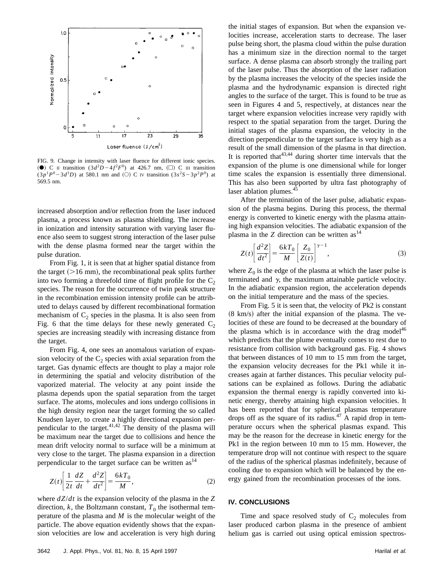

FIG. 9. Change in intensity with laser fluence for different ionic species. (**O**) C II transition  $(3d^2D-4f^2F^0)$  at 426.7 nm,  $(\square)$  C III transition  $(3p^1P^0 - 3d^1D)$  at 580.1 nm and (O) C IV transition  $(3s^2S - 3p^2P^0)$  at 569.5 nm.

increased absorption and/or reflection from the laser induced plasma, a process known as plasma shielding. The increase in ionization and intensity saturation with varying laser fluence also seem to suggest strong interaction of the laser pulse with the dense plasma formed near the target within the pulse duration.

From Fig. 1, it is seen that at higher spatial distance from the target  $(>16 \text{ mm})$ , the recombinational peak splits further into two forming a threefold time of flight profile for the  $C_2$ species. The reason for the occurrence of twin peak structure in the recombination emission intensity profile can be attributed to delays caused by different recombinational formation mechanism of  $C_2$  species in the plasma. It is also seen from Fig. 6 that the time delays for these newly generated  $C_2$ species are increasing steadily with increasing distance from the target.

From Fig. 4, one sees an anomalous variation of expansion velocity of the  $C_2$  species with axial separation from the target. Gas dynamic effects are thought to play a major role in determining the spatial and velocity distribution of the vaporized material. The velocity at any point inside the plasma depends upon the spatial separation from the target surface. The atoms, molecules and ions undergo collisions in the high density region near the target forming the so called Knudsen layer, to create a highly directional expansion perpendicular to the target. $41,42$  The density of the plasma will be maximum near the target due to collisions and hence the mean drift velocity normal to surface will be a minimum at very close to the target. The plasma expansion in a direction perpendicular to the target surface can be written  $as<sup>14</sup>$ 

$$
Z(t)\left[\frac{1}{2t}\frac{dZ}{dt} + \frac{d^2Z}{dt^2}\right] = \frac{6kT_0}{M},\tag{2}
$$

where *dZ*/*dt* is the expansion velocity of the plasma in the *Z* direction,  $k$ , the Boltzmann constant,  $T_0$  the isothermal temperature of the plasma and *M* is the molecular weight of the particle. The above equation evidently shows that the expansion velocities are low and acceleration is very high during the initial stages of expansion. But when the expansion velocities increase, acceleration starts to decrease. The laser pulse being short, the plasma cloud within the pulse duration has a minimum size in the direction normal to the target surface. A dense plasma can absorb strongly the trailing part of the laser pulse. Thus the absorption of the laser radiation by the plasma increases the velocity of the species inside the plasma and the hydrodynamic expansion is directed right angles to the surface of the target. This is found to be true as seen in Figures 4 and 5, respectively, at distances near the target where expansion velocities increase very rapidly with respect to the spatial separation from the target. During the initial stages of the plasma expansion, the velocity in the direction perpendicular to the target surface is very high as a result of the small dimension of the plasma in that direction. It is reported that  $43,44$  during shorter time intervals that the expansion of the plume is one dimensional while for longer time scales the expansion is essentially three dimensional. This has also been supported by ultra fast photography of laser ablation plumes.<sup>45</sup>

After the termination of the laser pulse, adiabatic expansion of the plasma begins. During this process, the thermal energy is converted to kinetic energy with the plasma attaining high expansion velocities. The adiabatic expansion of the plasma in the  $Z$  direction can be written as<sup>14</sup>

$$
Z(t)\left[\frac{d^2Z}{dt^2}\right] = \frac{6kT_0}{M} \left[\frac{Z_0}{Z(t)}\right]^{\gamma - 1},\tag{3}
$$

where  $Z_0$  is the edge of the plasma at which the laser pulse is terminated and  $\gamma$ , the maximum attainable particle velocity. In the adiabatic expansion region, the acceleration depends on the initial temperature and the mass of the species.

From Fig. 5 it is seen that, the velocity of Pk2 is constant  $(8 \text{ km/s})$  after the initial expansion of the plasma. The velocities of these are found to be decreased at the boundary of the plasma which is in accordance with the drag model<sup>46</sup> which predicts that the plume eventually comes to rest due to resistance from collision with background gas. Fig. 4 shows that between distances of 10 mm to 15 mm from the target, the expansion velocity decreases for the Pk1 while it increases again at farther distances. This peculiar velocity pulsations can be explained as follows. During the adiabatic expansion the thermal energy is rapidly converted into kinetic energy, thereby attaining high expansion velocities. It has been reported that for spherical plasmas temperature drops off as the square of its radius.<sup>47</sup> A rapid drop in temperature occurs when the spherical plasmas expand. This may be the reason for the decrease in kinetic energy for the Pk1 in the region between 10 mm to 15 mm. However, the temperature drop will not continue with respect to the square of the radius of the spherical plasmas indefinitely, because of cooling due to expansion which will be balanced by the energy gained from the recombination processes of the ions.

## **IV. CONCLUSIONS**

Time and space resolved study of  $C_2$  molecules from laser produced carbon plasma in the presence of ambient helium gas is carried out using optical emission spectros